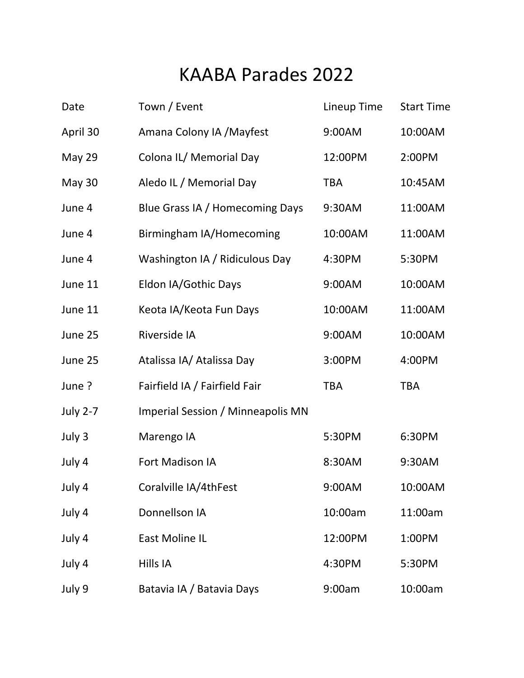## KAABA Parades 2022

| Date            | Town / Event                      | Lineup Time | <b>Start Time</b> |
|-----------------|-----------------------------------|-------------|-------------------|
| April 30        | Amana Colony IA / Mayfest         | 9:00AM      | 10:00AM           |
| <b>May 29</b>   | Colona IL/ Memorial Day           | 12:00PM     | 2:00PM            |
| May 30          | Aledo IL / Memorial Day           | <b>TBA</b>  | 10:45AM           |
| June 4          | Blue Grass IA / Homecoming Days   | 9:30AM      | 11:00AM           |
| June 4          | Birmingham IA/Homecoming          | 10:00AM     | 11:00AM           |
| June 4          | Washington IA / Ridiculous Day    | 4:30PM      | 5:30PM            |
| June 11         | Eldon IA/Gothic Days              | 9:00AM      | 10:00AM           |
| June 11         | Keota IA/Keota Fun Days           | 10:00AM     | 11:00AM           |
| June 25         | Riverside IA                      | 9:00AM      | 10:00AM           |
| June 25         | Atalissa IA/ Atalissa Day         | 3:00PM      | 4:00PM            |
| June?           | Fairfield IA / Fairfield Fair     | <b>TBA</b>  | <b>TBA</b>        |
| <b>July 2-7</b> | Imperial Session / Minneapolis MN |             |                   |
| July 3          | Marengo IA                        | 5:30PM      | 6:30PM            |
| July 4          | <b>Fort Madison IA</b>            | 8:30AM      | 9:30AM            |
| July 4          | Coralville IA/4thFest             | 9:00AM      | 10:00AM           |
| July 4          | Donnellson IA                     | 10:00am     | 11:00am           |
| July 4          | East Moline IL                    | 12:00PM     | 1:00PM            |
| July 4          | Hills IA                          | 4:30PM      | 5:30PM            |
| July 9          | Batavia IA / Batavia Days         | 9:00am      | 10:00am           |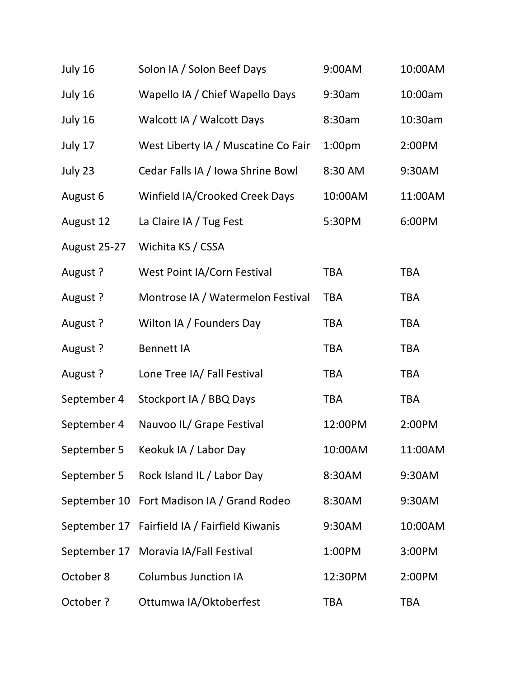| July 16      | Solon IA / Solon Beef Days          | 9:00AM             | 10:00AM    |
|--------------|-------------------------------------|--------------------|------------|
| July 16      | Wapello IA / Chief Wapello Days     | 9:30am             | 10:00am    |
| July 16      | Walcott IA / Walcott Days           | 8:30am             | 10:30am    |
| July 17      | West Liberty IA / Muscatine Co Fair | 1:00 <sub>pm</sub> | 2:00PM     |
| July 23      | Cedar Falls IA / Iowa Shrine Bowl   | 8:30 AM            | 9:30AM     |
| August 6     | Winfield IA/Crooked Creek Days      | 10:00AM            | 11:00AM    |
| August 12    | La Claire IA / Tug Fest             | 5:30PM             | 6:00PM     |
| August 25-27 | Wichita KS / CSSA                   |                    |            |
| August ?     | West Point IA/Corn Festival         | <b>TBA</b>         | <b>TBA</b> |
| August ?     | Montrose IA / Watermelon Festival   | <b>TBA</b>         | <b>TBA</b> |
| August ?     | Wilton IA / Founders Day            | <b>TBA</b>         | <b>TBA</b> |
| August ?     | <b>Bennett IA</b>                   | <b>TBA</b>         | <b>TBA</b> |
| August ?     | Lone Tree IA/ Fall Festival         | <b>TBA</b>         | <b>TBA</b> |
| September 4  | Stockport IA / BBQ Days             | <b>TBA</b>         | <b>TBA</b> |
| September 4  | Nauvoo IL/ Grape Festival           | 12:00PM            | 2:00PM     |
| September 5  | Keokuk IA / Labor Day               | 10:00AM            | 11:00AM    |
| September 5  | Rock Island IL / Labor Day          | 8:30AM             | 9:30AM     |
| September 10 | Fort Madison IA / Grand Rodeo       | 8:30AM             | 9:30AM     |
| September 17 | Fairfield IA / Fairfield Kiwanis    | 9:30AM             | 10:00AM    |
| September 17 | Moravia IA/Fall Festival            | 1:00PM             | 3:00PM     |
| October 8    | <b>Columbus Junction IA</b>         | 12:30PM            | 2:00PM     |
| October ?    | Ottumwa IA/Oktoberfest              | <b>TBA</b>         | <b>TBA</b> |